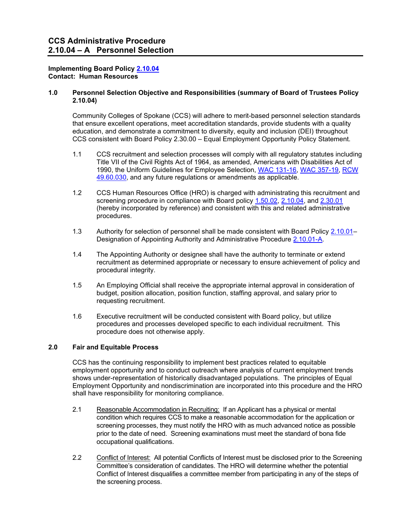#### **Implementing Board Policy [2.10.04](http://www.ccs.spokane.edu/getdoc/02446510-b4fd-47a1-bd7d-7dc1134c8023/2-10-04.aspx) Contact: Human Resources**

#### **1.0 Personnel Selection Objective and Responsibilities (summary of Board of Trustees Policy 2.10.04)**

Community Colleges of Spokane (CCS) will adhere to merit-based personnel selection standards that ensure excellent operations, meet accreditation standards, provide students with a quality education, and demonstrate a commitment to diversity, equity and inclusion (DEI) throughout CCS consistent with Board Policy 2.30.00 – Equal Employment Opportunity Policy Statement.

- 1.1 CCS recruitment and selection processes will comply with all regulatory statutes including Title VII of the Civil Rights Act of 1964, as amended, Americans with Disabilities Act of 1990, the Uniform Guidelines for Employee Selection, [WAC 131-16,](http://apps.leg.wa.gov/WAC/default.aspx?cite=131-16) [WAC 357-19,](http://apps.leg.wa.gov/WAC/default.aspx?cite=357-19) [RCW](http://apps.leg.wa.gov/RCW/default.aspx?cite=49.60.030)  [49.60.030,](http://apps.leg.wa.gov/RCW/default.aspx?cite=49.60.030) and any future regulations or amendments as applicable.
- 1.2 CCS Human Resources Office (HRO) is charged with administrating this recruitment and screening procedure in compliance with Board policy [1.50.02,](http://ccs.spokane.edu/getdoc/2f6bf907-33ff-4818-9a10-430ae5d6ba8f/1-50-02.aspx) [2.10.04,](http://www.ccs.spokane.edu/getdoc/02446510-b4fd-47a1-bd7d-7dc1134c8023/2-10-04.aspx) and [2.30.01](http://www.ccs.spokane.edu/getdoc/31f55ef7-5cb8-4aad-a9bf-48761640ec0c/2-30-01.aspx) (hereby incorporated by reference) and consistent with this and related administrative procedures.
- 1.3 Authority for selection of personnel shall be made consistent with Board Policy [2.10.01–](http://www.ccs.spokane.edu/getdoc/a0ae800d-a7cf-42b0-880e-aecd53c6cfab/2-10-01.aspx) Designation of Appointing Authority and Administrative Procedure [2.10.01-A.](http://www.ccs.spokane.edu/admin-procedures/HR/2-10-01-Designation-of-Appointing-Authority/2-10-01-A-Appointing-Authority.aspx)
- 1.4 The Appointing Authority or designee shall have the authority to terminate or extend recruitment as determined appropriate or necessary to ensure achievement of policy and procedural integrity.
- 1.5 An Employing Official shall receive the appropriate internal approval in consideration of budget, position allocation, position function, staffing approval, and salary prior to requesting recruitment.
- 1.6 Executive recruitment will be conducted consistent with Board policy, but utilize procedures and processes developed specific to each individual recruitment. This procedure does not otherwise apply.

## **2.0 Fair and Equitable Process**

CCS has the continuing responsibility to implement best practices related to equitable employment opportunity and to conduct outreach where analysis of current employment trends shows under-representation of historically disadvantaged populations. The principles of Equal Employment Opportunity and nondiscrimination are incorporated into this procedure and the HRO shall have responsibility for monitoring compliance.

- 2.1 Reasonable Accommodation in Recruiting: If an Applicant has a physical or mental condition which requires CCS to make a reasonable accommodation for the application or screening processes, they must notify the HRO with as much advanced notice as possible prior to the date of need. Screening examinations must meet the standard of bona fide occupational qualifications.
- 2.2 Conflict of Interest: All potential Conflicts of Interest must be disclosed prior to the Screening Committee's consideration of candidates. The HRO will determine whether the potential Conflict of Interest disqualifies a committee member from participating in any of the steps of the screening process.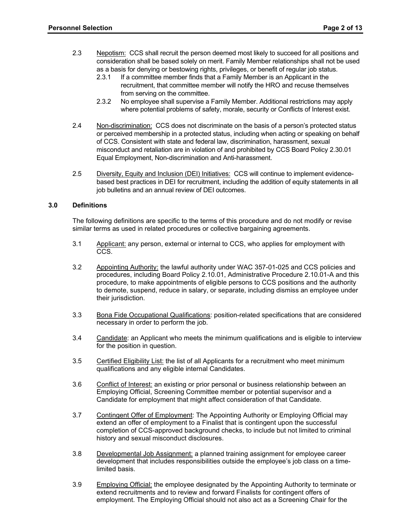- 2.3 Nepotism: CCS shall recruit the person deemed most likely to succeed for all positions and consideration shall be based solely on merit. Family Member relationships shall not be used as a basis for denying or bestowing rights, privileges, or benefit of regular job status.
	- 2.3.1 If a committee member finds that a Family Member is an Applicant in the recruitment, that committee member will notify the HRO and recuse themselves from serving on the committee.
	- 2.3.2 No employee shall supervise a Family Member. Additional restrictions may apply where potential problems of safety, morale, security or Conflicts of Interest exist.
- 2.4 Non-discrimination: CCS does not discriminate on the basis of a person's protected status or perceived membership in a protected status, including when acting or speaking on behalf of CCS. Consistent with state and federal law, discrimination, harassment, sexual misconduct and retaliation are in violation of and prohibited by CCS Board Policy 2.30.01 Equal Employment, Non-discrimination and Anti-harassment.
- 2.5 Diversity, Equity and Inclusion (DEI) Initiatives: CCS will continue to implement evidencebased best practices in DEI for recruitment, including the addition of equity statements in all job bulletins and an annual review of DEI outcomes.

### **3.0 Definitions**

The following definitions are specific to the terms of this procedure and do not modify or revise similar terms as used in related procedures or collective bargaining agreements.

- 3.1 Applicant: any person, external or internal to CCS, who applies for employment with CCS.
- 3.2 Appointing Authority: the lawful authority under WAC 357-01-025 and CCS policies and procedures, including Board Policy 2.10.01, Administrative Procedure 2.10.01-A and this procedure, to make appointments of eligible persons to CCS positions and the authority to demote, suspend, reduce in salary, or separate, including dismiss an employee under their jurisdiction.
- 3.3 Bona Fide Occupational Qualifications: position-related specifications that are considered necessary in order to perform the job.
- 3.4 Candidate: an Applicant who meets the minimum qualifications and is eligible to interview for the position in question.
- 3.5 Certified Eligibility List: the list of all Applicants for a recruitment who meet minimum qualifications and any eligible internal Candidates.
- 3.6 Conflict of Interest: an existing or prior personal or business relationship between an Employing Official, Screening Committee member or potential supervisor and a Candidate for employment that might affect consideration of that Candidate.
- 3.7 Contingent Offer of Employment: The Appointing Authority or Employing Official may extend an offer of employment to a Finalist that is contingent upon the successful completion of CCS-approved background checks, to include but not limited to criminal history and sexual misconduct disclosures.
- 3.8 Developmental Job Assignment: a planned training assignment for employee career development that includes responsibilities outside the employee's job class on a timelimited basis.
- 3.9 Employing Official: the employee designated by the Appointing Authority to terminate or extend recruitments and to review and forward Finalists for contingent offers of employment. The Employing Official should not also act as a Screening Chair for the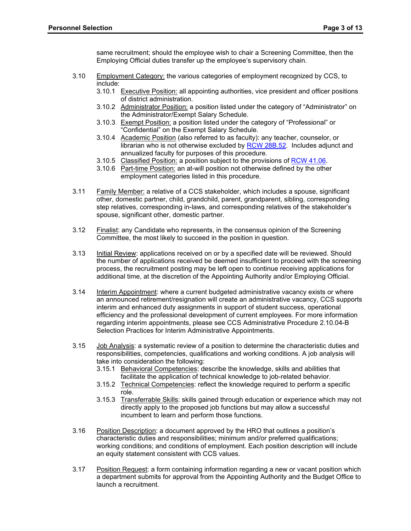same recruitment; should the employee wish to chair a Screening Committee, then the Employing Official duties transfer up the employee's supervisory chain.

- 3.10 Employment Category: the various categories of employment recognized by CCS, to include:
	- 3.10.1 Executive Position: all appointing authorities, vice president and officer positions of district administration.
	- 3.10.2 Administrator Position: a position listed under the category of "Administrator" on the Administrator/Exempt Salary Schedule.
	- 3.10.3 Exempt Position: a position listed under the category of "Professional" or "Confidential" on the Exempt Salary Schedule.
	- 3.10.4 Academic Position (also referred to as faculty): any teacher, counselor, or librarian who is not otherwise excluded by [RCW 28B.52.](http://apps.leg.wa.gov/RCW/default.aspx?cite=28B.52) Includes adjunct and annualized faculty for purposes of this procedure.
	- 3.10.5 Classified Position: a position subject to the provisions of [RCW 41.06.](http://apps.leg.wa.gov/RCW/default.aspx?cite=41.06)
	- 3.10.6 Part-time Position: an at-will position not otherwise defined by the other employment categories listed in this procedure.
- 3.11 Family Member: a relative of a CCS stakeholder, which includes a spouse, significant other, domestic partner, child, grandchild, parent, grandparent, sibling, corresponding step relatives, corresponding in-laws, and corresponding relatives of the stakeholder's spouse, significant other, domestic partner.
- 3.12 Finalist: any Candidate who represents, in the consensus opinion of the Screening Committee, the most likely to succeed in the position in question.
- 3.13 Initial Review: applications received on or by a specified date will be reviewed. Should the number of applications received be deemed insufficient to proceed with the screening process, the recruitment posting may be left open to continue receiving applications for additional time, at the discretion of the Appointing Authority and/or Employing Official.
- 3.14 Interim Appointment: where a current budgeted administrative vacancy exists or where an announced retirement/resignation will create an administrative vacancy, CCS supports interim and enhanced duty assignments in support of student success, operational efficiency and the professional development of current employees. For more information regarding interim appointments, please see CCS Administrative Procedure 2.10.04-B Selection Practices for Interim Administrative Appointments.
- 3.15 Job Analysis: a systematic review of a position to determine the characteristic duties and responsibilities, competencies, qualifications and working conditions. A job analysis will take into consideration the following:
	- 3.15.1 Behavioral Competencies: describe the knowledge, skills and abilities that facilitate the application of technical knowledge to job-related behavior.
	- 3.15.2 Technical Competencies: reflect the knowledge required to perform a specific role.
	- 3.15.3 Transferrable Skills: skills gained through education or experience which may not directly apply to the proposed job functions but may allow a successful incumbent to learn and perform those functions.
- 3.16 Position Description: a document approved by the HRO that outlines a position's characteristic duties and responsibilities; minimum and/or preferred qualifications; working conditions; and conditions of employment. Each position description will include an equity statement consistent with CCS values.
- 3.17 Position Request: a form containing information regarding a new or vacant position which a department submits for approval from the Appointing Authority and the Budget Office to launch a recruitment.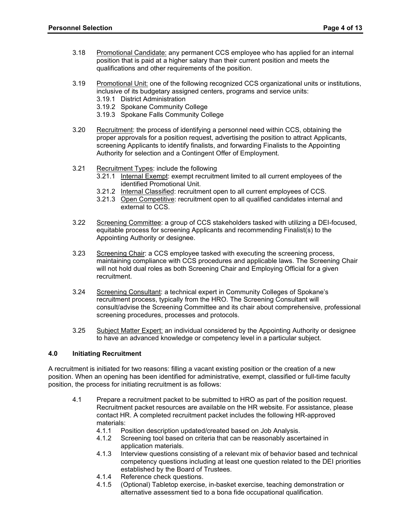- 3.18 Promotional Candidate: any permanent CCS employee who has applied for an internal position that is paid at a higher salary than their current position and meets the qualifications and other requirements of the position.
- 3.19 Promotional Unit: one of the following recognized CCS organizational units or institutions, inclusive of its budgetary assigned centers, programs and service units:
	- 3.19.1 District Administration
	- 3.19.2 Spokane Community College
	- 3.19.3 Spokane Falls Community College
- 3.20 Recruitment: the process of identifying a personnel need within CCS, obtaining the proper approvals for a position request, advertising the position to attract Applicants, screening Applicants to identify finalists, and forwarding Finalists to the Appointing Authority for selection and a Contingent Offer of Employment.
- 3.21 Recruitment Types: include the following
	- 3.21.1 Internal Exempt: exempt recruitment limited to all current employees of the identified Promotional Unit.
	- 3.21.2 Internal Classified: recruitment open to all current employees of CCS.
	- 3.21.3 Open Competitive: recruitment open to all qualified candidates internal and external to CCS.
- 3.22 Screening Committee: a group of CCS stakeholders tasked with utilizing a DEI-focused, equitable process for screening Applicants and recommending Finalist(s) to the Appointing Authority or designee.
- 3.23 Screening Chair: a CCS employee tasked with executing the screening process, maintaining compliance with CCS procedures and applicable laws. The Screening Chair will not hold dual roles as both Screening Chair and Employing Official for a given recruitment.
- 3.24 Screening Consultant: a technical expert in Community Colleges of Spokane's recruitment process, typically from the HRO. The Screening Consultant will consult/advise the Screening Committee and its chair about comprehensive, professional screening procedures, processes and protocols.
- 3.25 Subject Matter Expert: an individual considered by the Appointing Authority or designee to have an advanced knowledge or competency level in a particular subject.

# **4.0 Initiating Recruitment**

A recruitment is initiated for two reasons: filling a vacant existing position or the creation of a new position. When an opening has been identified for administrative, exempt, classified or full-time faculty position, the process for initiating recruitment is as follows:

- 4.1 Prepare a recruitment packet to be submitted to HRO as part of the position request. Recruitment packet resources are available on the HR website. For assistance, please contact HR. A completed recruitment packet includes the following HR-approved materials:
	- 4.1.1 Position description updated/created based on Job Analysis.<br>4.1.2 Screening tool based on criteria that can be reasonably asce
	- Screening tool based on criteria that can be reasonably ascertained in application materials.
	- 4.1.3 Interview questions consisting of a relevant mix of behavior based and technical competency questions including at least one question related to the DEI priorities established by the Board of Trustees.
	- 4.1.4 Reference check questions.<br>4.1.5 (Optional) Tabletop exercise
	- 4.1.5 (Optional) Tabletop exercise, in-basket exercise, teaching demonstration or alternative assessment tied to a bona fide occupational qualification.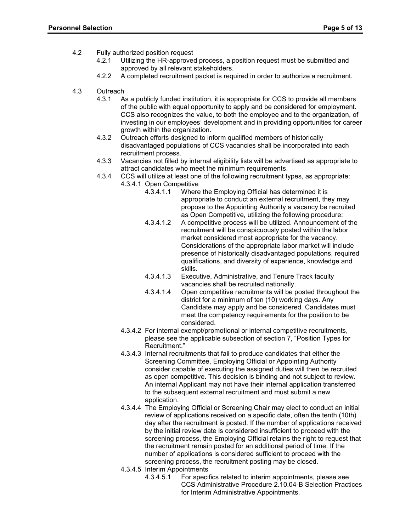- 4.2 Fully authorized position request
	- 4.2.1 Utilizing the HR-approved process, a position request must be submitted and approved by all relevant stakeholders.
	- 4.2.2 A completed recruitment packet is required in order to authorize a recruitment.
- 4.3 Outreach
	- 4.3.1 As a publicly funded institution, it is appropriate for CCS to provide all members of the public with equal opportunity to apply and be considered for employment. CCS also recognizes the value, to both the employee and to the organization, of investing in our employees' development and in providing opportunities for career growth within the organization.
	- 4.3.2 Outreach efforts designed to inform qualified members of historically disadvantaged populations of CCS vacancies shall be incorporated into each recruitment process.
	- 4.3.3 Vacancies not filled by internal eligibility lists will be advertised as appropriate to attract candidates who meet the minimum requirements.
	- 4.3.4 CCS will utilize at least one of the following recruitment types, as appropriate: 4.3.4.1 Open Competitive<br>4.3.4.1.1 Where
		- Where the Employing Official has determined it is appropriate to conduct an external recruitment, they may propose to the Appointing Authority a vacancy be recruited as Open Competitive, utilizing the following procedure:
		- 4.3.4.1.2 A competitive process will be utilized. Announcement of the recruitment will be conspicuously posted within the labor market considered most appropriate for the vacancy. Considerations of the appropriate labor market will include presence of historically disadvantaged populations, required qualifications, and diversity of experience, knowledge and skills.
		- 4.3.4.1.3 Executive, Administrative, and Tenure Track faculty vacancies shall be recruited nationally.
		- 4.3.4.1.4 Open competitive recruitments will be posted throughout the district for a minimum of ten (10) working days. Any Candidate may apply and be considered. Candidates must meet the competency requirements for the position to be considered.
		- 4.3.4.2 For internal exempt/promotional or internal competitive recruitments, please see the applicable subsection of section 7, "Position Types for Recruitment."
		- 4.3.4.3 Internal recruitments that fail to produce candidates that either the Screening Committee, Employing Official or Appointing Authority consider capable of executing the assigned duties will then be recruited as open competitive. This decision is binding and not subject to review. An internal Applicant may not have their internal application transferred to the subsequent external recruitment and must submit a new application.
		- 4.3.4.4 The Employing Official or Screening Chair may elect to conduct an initial review of applications received on a specific date, often the tenth (10th) day after the recruitment is posted. If the number of applications received by the initial review date is considered insufficient to proceed with the screening process, the Employing Official retains the right to request that the recruitment remain posted for an additional period of time. If the number of applications is considered sufficient to proceed with the screening process, the recruitment posting may be closed.
		- 4.3.4.5 Interim Appointments<br>4.3.4.5.1 For special
			- 4.3.4.5.1 For specifics related to interim appointments, please see CCS Administrative Procedure 2.10.04-B Selection Practices for Interim Administrative Appointments.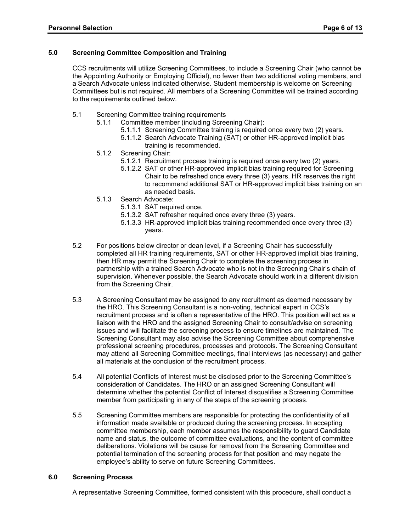### **5.0 Screening Committee Composition and Training**

CCS recruitments will utilize Screening Committees, to include a Screening Chair (who cannot be the Appointing Authority or Employing Official), no fewer than two additional voting members, and a Search Advocate unless indicated otherwise. Student membership is welcome on Screening Committees but is not required. All members of a Screening Committee will be trained according to the requirements outlined below.

- 5.1 Screening Committee training requirements
	- 5.1.1 Committee member (including Screening Chair):
		- 5.1.1.1 Screening Committee training is required once every two (2) years.
		- 5.1.1.2 Search Advocate Training (SAT) or other HR-approved implicit bias training is recommended.
	- 5.1.2 Screening Chair:
		- 5.1.2.1 Recruitment process training is required once every two (2) years.
		- 5.1.2.2 SAT or other HR-approved implicit bias training required for Screening Chair to be refreshed once every three (3) years. HR reserves the right to recommend additional SAT or HR-approved implicit bias training on an as needed basis.
	- 5.1.3 Search Advocate:
		- 5.1.3.1 SAT required once.
		- 5.1.3.2 SAT refresher required once every three (3) years.
		- 5.1.3.3 HR-approved implicit bias training recommended once every three (3) years.
- 5.2 For positions below director or dean level, if a Screening Chair has successfully completed all HR training requirements, SAT or other HR-approved implicit bias training, then HR may permit the Screening Chair to complete the screening process in partnership with a trained Search Advocate who is not in the Screening Chair's chain of supervision. Whenever possible, the Search Advocate should work in a different division from the Screening Chair.
- 5.3 A Screening Consultant may be assigned to any recruitment as deemed necessary by the HRO. This Screening Consultant is a non-voting, technical expert in CCS's recruitment process and is often a representative of the HRO. This position will act as a liaison with the HRO and the assigned Screening Chair to consult/advise on screening issues and will facilitate the screening process to ensure timelines are maintained. The Screening Consultant may also advise the Screening Committee about comprehensive professional screening procedures, processes and protocols. The Screening Consultant may attend all Screening Committee meetings, final interviews (as necessary) and gather all materials at the conclusion of the recruitment process.
- 5.4 All potential Conflicts of Interest must be disclosed prior to the Screening Committee's consideration of Candidates. The HRO or an assigned Screening Consultant will determine whether the potential Conflict of Interest disqualifies a Screening Committee member from participating in any of the steps of the screening process.
- 5.5 Screening Committee members are responsible for protecting the confidentiality of all information made available or produced during the screening process. In accepting committee membership, each member assumes the responsibility to guard Candidate name and status, the outcome of committee evaluations, and the content of committee deliberations. Violations will be cause for removal from the Screening Committee and potential termination of the screening process for that position and may negate the employee's ability to serve on future Screening Committees.

#### **6.0 Screening Process**

A representative Screening Committee, formed consistent with this procedure, shall conduct a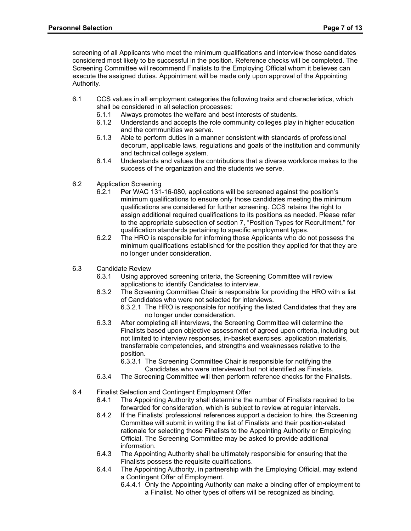screening of all Applicants who meet the minimum qualifications and interview those candidates considered most likely to be successful in the position. Reference checks will be completed. The Screening Committee will recommend Finalists to the Employing Official whom it believes can execute the assigned duties. Appointment will be made only upon approval of the Appointing Authority.

- 6.1 CCS values in all employment categories the following traits and characteristics, which shall be considered in all selection processes:
	- 6.1.1 Always promotes the welfare and best interests of students.
	- 6.1.2 Understands and accepts the role community colleges play in higher education and the communities we serve.
	- 6.1.3 Able to perform duties in a manner consistent with standards of professional decorum, applicable laws, regulations and goals of the institution and community and technical college system.
	- 6.1.4 Understands and values the contributions that a diverse workforce makes to the success of the organization and the students we serve.
- 6.2 Application Screening
	- 6.2.1 Per WAC 131-16-080, applications will be screened against the position's minimum qualifications to ensure only those candidates meeting the minimum qualifications are considered for further screening. CCS retains the right to assign additional required qualifications to its positions as needed. Please refer to the appropriate subsection of section 7, "Position Types for Recruitment," for qualification standards pertaining to specific employment types.
	- 6.2.2 The HRO is responsible for informing those Applicants who do not possess the minimum qualifications established for the position they applied for that they are no longer under consideration.
- 6.3 Candidate Review
	- 6.3.1 Using approved screening criteria, the Screening Committee will review applications to identify Candidates to interview.
	- 6.3.2 The Screening Committee Chair is responsible for providing the HRO with a list of Candidates who were not selected for interviews.
		- 6.3.2.1 The HRO is responsible for notifying the listed Candidates that they are no longer under consideration.
	- 6.3.3 After completing all interviews, the Screening Committee will determine the Finalists based upon objective assessment of agreed upon criteria, including but not limited to interview responses, in-basket exercises, application materials, transferrable competencies, and strengths and weaknesses relative to the position.

6.3.3.1 The Screening Committee Chair is responsible for notifying the Candidates who were interviewed but not identified as Finalists.

- 6.3.4 The Screening Committee will then perform reference checks for the Finalists.
- 6.4 Finalist Selection and Contingent Employment Offer
	- 6.4.1 The Appointing Authority shall determine the number of Finalists required to be forwarded for consideration, which is subject to review at regular intervals.
	- 6.4.2 If the Finalists' professional references support a decision to hire, the Screening Committee will submit in writing the list of Finalists and their position-related rationale for selecting those Finalists to the Appointing Authority or Employing Official. The Screening Committee may be asked to provide additional information.
	- 6.4.3 The Appointing Authority shall be ultimately responsible for ensuring that the Finalists possess the requisite qualifications.
	- 6.4.4 The Appointing Authority, in partnership with the Employing Official, may extend a Contingent Offer of Employment.
		- 6.4.4.1 Only the Appointing Authority can make a binding offer of employment to a Finalist. No other types of offers will be recognized as binding.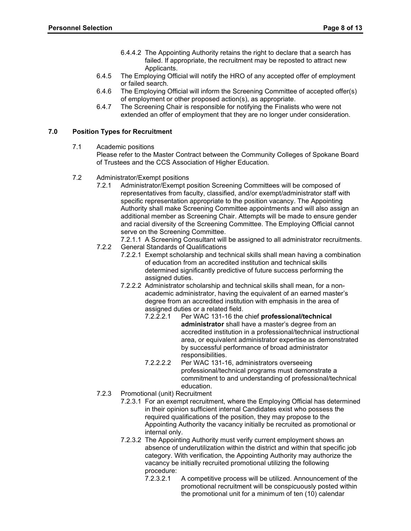- 6.4.4.2 The Appointing Authority retains the right to declare that a search has failed. If appropriate, the recruitment may be reposted to attract new Applicants.
- 6.4.5 The Employing Official will notify the HRO of any accepted offer of employment or failed search.
- 6.4.6 The Employing Official will inform the Screening Committee of accepted offer(s) of employment or other proposed action(s), as appropriate.
- 6.4.7 The Screening Chair is responsible for notifying the Finalists who were not extended an offer of employment that they are no longer under consideration.

## **7.0 Position Types for Recruitment**

7.1 Academic positions

Please refer to the Master Contract between the Community Colleges of Spokane Board of Trustees and the CCS Association of Higher Education.

- 7.2 Administrator/Exempt positions
	- 7.2.1 Administrator/Exempt position Screening Committees will be composed of representatives from faculty, classified, and/or exempt/administrator staff with specific representation appropriate to the position vacancy. The Appointing Authority shall make Screening Committee appointments and will also assign an additional member as Screening Chair. Attempts will be made to ensure gender and racial diversity of the Screening Committee. The Employing Official cannot serve on the Screening Committee.
		- 7.2.1.1 A Screening Consultant will be assigned to all administrator recruitments.
	- 7.2.2 General Standards of Qualifications
		- 7.2.2.1 Exempt scholarship and technical skills shall mean having a combination of education from an accredited institution and technical skills determined significantly predictive of future success performing the assigned duties.
		- 7.2.2.2 Administrator scholarship and technical skills shall mean, for a nonacademic administrator, having the equivalent of an earned master's degree from an accredited institution with emphasis in the area of assigned duties or a related field.<br>7.2.2.2.1 Per WAC 131-16 the
			- 7.2.2.2.1 Per WAC 131-16 the chief **professional/technical administrator** shall have a master's degree from an accredited institution in a professional/technical instructional area, or equivalent administrator expertise as demonstrated by successful performance of broad administrator responsibilities.
			- 7.2.2.2.2 Per WAC 131-16, administrators overseeing professional/technical programs must demonstrate a commitment to and understanding of professional/technical education.
	- 7.2.3 Promotional (unit) Recruitment
		- 7.2.3.1 For an exempt recruitment, where the Employing Official has determined in their opinion sufficient internal Candidates exist who possess the required qualifications of the position, they may propose to the Appointing Authority the vacancy initially be recruited as promotional or internal only.
		- 7.2.3.2 The Appointing Authority must verify current employment shows an absence of underutilization within the district and within that specific job category. With verification, the Appointing Authority may authorize the vacancy be initially recruited promotional utilizing the following procedure:<br>7.2.3.2.1
			- A competitive process will be utilized. Announcement of the promotional recruitment will be conspicuously posted within the promotional unit for a minimum of ten (10) calendar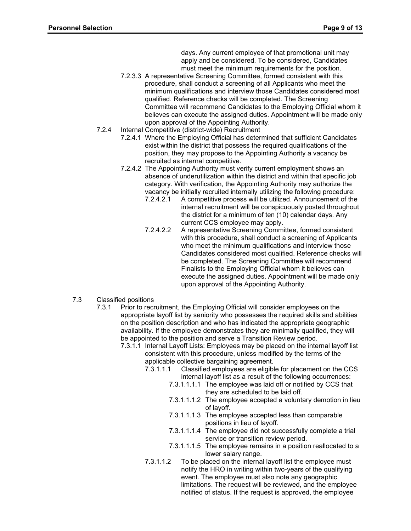days. Any current employee of that promotional unit may apply and be considered. To be considered, Candidates must meet the minimum requirements for the position.

- 7.2.3.3 A representative Screening Committee, formed consistent with this procedure, shall conduct a screening of all Applicants who meet the minimum qualifications and interview those Candidates considered most qualified. Reference checks will be completed. The Screening Committee will recommend Candidates to the Employing Official whom it believes can execute the assigned duties. Appointment will be made only upon approval of the Appointing Authority.
- 7.2.4 Internal Competitive (district-wide) Recruitment
	- 7.2.4.1 Where the Employing Official has determined that sufficient Candidates exist within the district that possess the required qualifications of the position, they may propose to the Appointing Authority a vacancy be recruited as internal competitive.
	- 7.2.4.2 The Appointing Authority must verify current employment shows an absence of underutilization within the district and within that specific job category. With verification, the Appointing Authority may authorize the vacancy be initially recruited internally utilizing the following procedure:<br>7.2.4.2.1 A competitive process will be utilized. Announcement of the
		- A competitive process will be utilized. Announcement of the internal recruitment will be conspicuously posted throughout the district for a minimum of ten (10) calendar days. Any current CCS employee may apply.
		- 7.2.4.2.2 A representative Screening Committee, formed consistent with this procedure, shall conduct a screening of Applicants who meet the minimum qualifications and interview those Candidates considered most qualified. Reference checks will be completed. The Screening Committee will recommend Finalists to the Employing Official whom it believes can execute the assigned duties. Appointment will be made only upon approval of the Appointing Authority.
- 7.3 Classified positions
	- 7.3.1 Prior to recruitment, the Employing Official will consider employees on the appropriate layoff list by seniority who possesses the required skills and abilities on the position description and who has indicated the appropriate geographic availability. If the employee demonstrates they are minimally qualified, they will be appointed to the position and serve a Transition Review period.
		- 7.3.1.1 Internal Layoff Lists: Employees may be placed on the internal layoff list consistent with this procedure, unless modified by the terms of the applicable collective bargaining agreement.
			- 7.3.1.1.1 Classified employees are eligible for placement on the CCS internal layoff list as a result of the following occurrences:
				- 7.3.1.1.1.1 The employee was laid off or notified by CCS that they are scheduled to be laid off.
				- 7.3.1.1.1.2 The employee accepted a voluntary demotion in lieu of layoff.
				- 7.3.1.1.1.3 The employee accepted less than comparable positions in lieu of layoff.
				- 7.3.1.1.1.4 The employee did not successfully complete a trial service or transition review period.
				- 7.3.1.1.1.5 The employee remains in a position reallocated to a lower salary range.
			- 7.3.1.1.2 To be placed on the internal layoff list the employee must notify the HRO in writing within two-years of the qualifying event. The employee must also note any geographic limitations. The request will be reviewed, and the employee notified of status. If the request is approved, the employee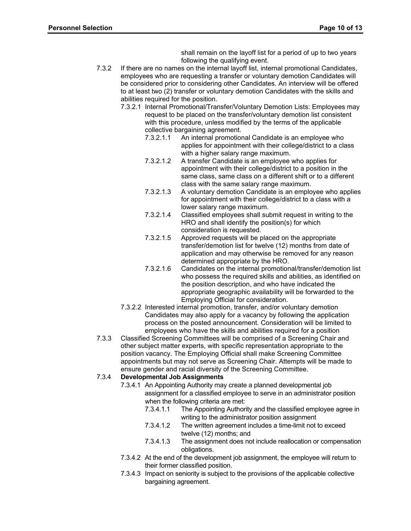shall remain on the layoff list for a period of up to two years following the qualifying event.

- 7.3.2 If there are no names on the internal layoff list, internal promotional Candidates, employees who are requesting a transfer or voluntary demotion Candidates will be considered prior to considering other Candidates. An interview will be offered to at least two (2) transfer or voluntary demotion Candidates with the skills and abilities required for the position.
	- 7.3.2.1 Internal Promotional/Transfer/Voluntary Demotion Lists: Employees may request to be placed on the transfer/voluntary demotion list consistent with this procedure, unless modified by the terms of the applicable collective bargaining agreement.<br>7.3.2.1.1 An internal promotion
		- An internal promotional Candidate is an employee who applies for appointment with their college/district to a class with a higher salary range maximum.
		- 7.3.2.1.2 A transfer Candidate is an employee who applies for appointment with their college/district to a position in the same class, same class on a different shift or to a different class with the same salary range maximum.
		- 7.3.2.1.3 A voluntary demotion Candidate is an employee who applies for appointment with their college/district to a class with a lower salary range maximum.
		- 7.3.2.1.4 Classified employees shall submit request in writing to the HRO and shall identify the position(s) for which consideration is requested.
		- 7.3.2.1.5 Approved requests will be placed on the appropriate transfer/demotion list for twelve (12) months from date of application and may otherwise be removed for any reason determined appropriate by the HRO.
		- 7.3.2.1.6 Candidates on the internal promotional/transfer/demotion list who possess the required skills and abilities, as identified on the position description, and who have indicated the appropriate geographic availability will be forwarded to the Employing Official for consideration.
	- 7.3.2.2 Interested internal promotion, transfer, and/or voluntary demotion Candidates may also apply for a vacancy by following the application process on the posted announcement. Consideration will be limited to employees who have the skills and abilities required for a position
- 7.3.3 Classified Screening Committees will be comprised of a Screening Chair and other subject matter experts, with specific representation appropriate to the position vacancy. The Employing Official shall make Screening Committee appointments but may not serve as Screening Chair. Attempts will be made to ensure gender and racial diversity of the Screening Committee.

# 7.3.4 **Developmental Job Assignments**

- 7.3.4.1 An Appointing Authority may create a planned developmental job assignment for a classified employee to serve in an administrator position when the following criteria are met:
	- 7.3.4.1.1 The Appointing Authority and the classified employee agree in writing to the administrator position assignment
	- 7.3.4.1.2 The written agreement includes a time-limit not to exceed twelve (12) months; and
	- 7.3.4.1.3 The assignment does not include reallocation or compensation obligations.
- 7.3.4.2 At the end of the development job assignment, the employee will return to their former classified position.
- 7.3.4.3 Impact on seniority is subject to the provisions of the applicable collective bargaining agreement.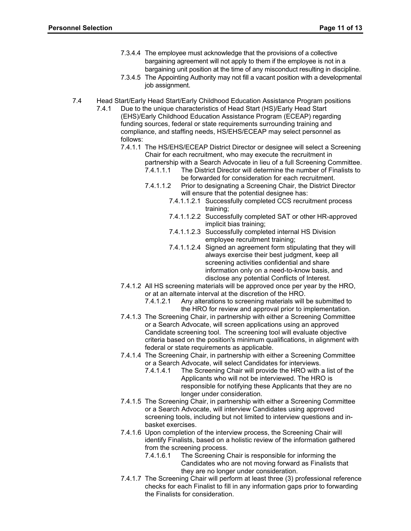- 7.3.4.4 The employee must acknowledge that the provisions of a collective bargaining agreement will not apply to them if the employee is not in a bargaining unit position at the time of any misconduct resulting in discipline.
- 7.3.4.5 The Appointing Authority may not fill a vacant position with a developmental job assignment.
- 7.4 Head Start/Early Head Start/Early Childhood Education Assistance Program positions
	- 7.4.1 Due to the unique characteristics of Head Start (HS)/Early Head Start (EHS)/Early Childhood Education Assistance Program (ECEAP) regarding funding sources, federal or state requirements surrounding training and compliance, and staffing needs, HS/EHS/ECEAP may select personnel as follows:
		- 7.4.1.1 The HS/EHS/ECEAP District Director or designee will select a Screening Chair for each recruitment, who may execute the recruitment in
			- partnership with a Search Advocate in lieu of a full Screening Committee.<br>7.4.1.1.1 The District Director will determine the number of Finalists to The District Director will determine the number of Finalists to be forwarded for consideration for each recruitment.
			- 7.4.1.1.2 Prior to designating a Screening Chair, the District Director will ensure that the potential designee has:
				- 7.4.1.1.2.1 Successfully completed CCS recruitment process training;
				- 7.4.1.1.2.2 Successfully completed SAT or other HR-approved implicit bias training;
				- 7.4.1.1.2.3 Successfully completed internal HS Division employee recruitment training;
				- 7.4.1.1.2.4 Signed an agreement form stipulating that they will always exercise their best judgment, keep all screening activities confidential and share information only on a need-to-know basis, and disclose any potential Conflicts of Interest.
		- 7.4.1.2 All HS screening materials will be approved once per year by the HRO, or at an alternate interval at the discretion of the HRO.
			- 7.4.1.2.1 Any alterations to screening materials will be submitted to the HRO for review and approval prior to implementation.
		- 7.4.1.3 The Screening Chair, in partnership with either a Screening Committee or a Search Advocate, will screen applications using an approved Candidate screening tool. The screening tool will evaluate objective criteria based on the position's minimum qualifications, in alignment with federal or state requirements as applicable.
		- 7.4.1.4 The Screening Chair, in partnership with either a Screening Committee or a Search Advocate, will select Candidates for interviews.
			- 7.4.1.4.1 The Screening Chair will provide the HRO with a list of the Applicants who will not be interviewed. The HRO is responsible for notifying these Applicants that they are no longer under consideration.
		- 7.4.1.5 The Screening Chair, in partnership with either a Screening Committee or a Search Advocate, will interview Candidates using approved screening tools, including but not limited to interview questions and inbasket exercises.
		- 7.4.1.6 Upon completion of the interview process, the Screening Chair will identify Finalists, based on a holistic review of the information gathered from the screening process.
			- 7.4.1.6.1 The Screening Chair is responsible for informing the Candidates who are not moving forward as Finalists that they are no longer under consideration.
		- 7.4.1.7 The Screening Chair will perform at least three (3) professional reference checks for each Finalist to fill in any information gaps prior to forwarding the Finalists for consideration.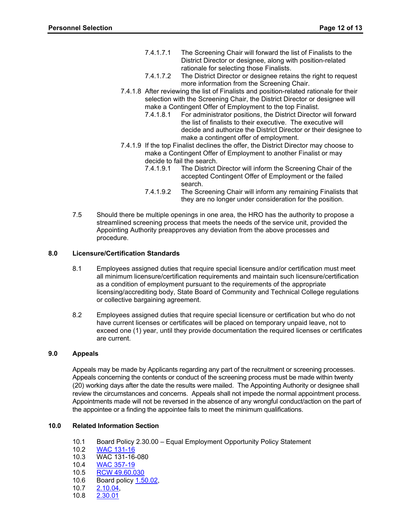- 7.4.1.7.1 The Screening Chair will forward the list of Finalists to the District Director or designee, along with position-related rationale for selecting those Finalists.
- 7.4.1.7.2 The District Director or designee retains the right to request more information from the Screening Chair.
- 7.4.1.8 After reviewing the list of Finalists and position-related rationale for their selection with the Screening Chair, the District Director or designee will make a Contingent Offer of Employment to the top Finalist.
	- 7.4.1.8.1 For administrator positions, the District Director will forward the list of finalists to their executive. The executive will decide and authorize the District Director or their designee to make a contingent offer of employment.
- 7.4.1.9 If the top Finalist declines the offer, the District Director may choose to make a Contingent Offer of Employment to another Finalist or may decide to fail the search.
	- 7.4.1.9.1 The District Director will inform the Screening Chair of the accepted Contingent Offer of Employment or the failed search.
	- 7.4.1.9.2 The Screening Chair will inform any remaining Finalists that they are no longer under consideration for the position.
- 7.5 Should there be multiple openings in one area, the HRO has the authority to propose a streamlined screening process that meets the needs of the service unit, provided the Appointing Authority preapproves any deviation from the above processes and procedure.

# **8.0 Licensure/Certification Standards**

- 8.1 Employees assigned duties that require special licensure and/or certification must meet all minimum licensure/certification requirements and maintain such licensure/certification as a condition of employment pursuant to the requirements of the appropriate licensing/accrediting body, State Board of Community and Technical College regulations or collective bargaining agreement.
- 8.2 Employees assigned duties that require special licensure or certification but who do not have current licenses or certificates will be placed on temporary unpaid leave, not to exceed one (1) year, until they provide documentation the required licenses or certificates are current.

# **9.0 Appeals**

Appeals may be made by Applicants regarding any part of the recruitment or screening processes. Appeals concerning the contents or conduct of the screening process must be made within twenty (20) working days after the date the results were mailed. The Appointing Authority or designee shall review the circumstances and concerns. Appeals shall not impede the normal appointment process. Appointments made will not be reversed in the absence of any wrongful conduct/action on the part of the appointee or a finding the appointee fails to meet the minimum qualifications.

# **10.0 Related Information Section**

- 10.1 Board Policy 2.30.00 Equal Employment Opportunity Policy Statement
- 10.2 [WAC 131-16](http://apps.leg.wa.gov/WAC/default.aspx?cite=131-16)
- 10.3 WAC 131-16-080
- 10.4 [WAC 357-19](http://apps.leg.wa.gov/WAC/default.aspx?cite=357-19)<br>10.5 RCW 49.60.0
- [RCW 49.60.030](http://apps.leg.wa.gov/RCW/default.aspx?cite=49.60.030)
- 10.6 Board policy [1.50.02,](http://ccs.spokane.edu/getdoc/2f6bf907-33ff-4818-9a10-430ae5d6ba8f/1-50-02.aspx)
- 10.7 2.10.04,<br>10.8 2.30.01
- [2.30.01](http://www.ccs.spokane.edu/getdoc/31f55ef7-5cb8-4aad-a9bf-48761640ec0c/2-30-01.aspx)